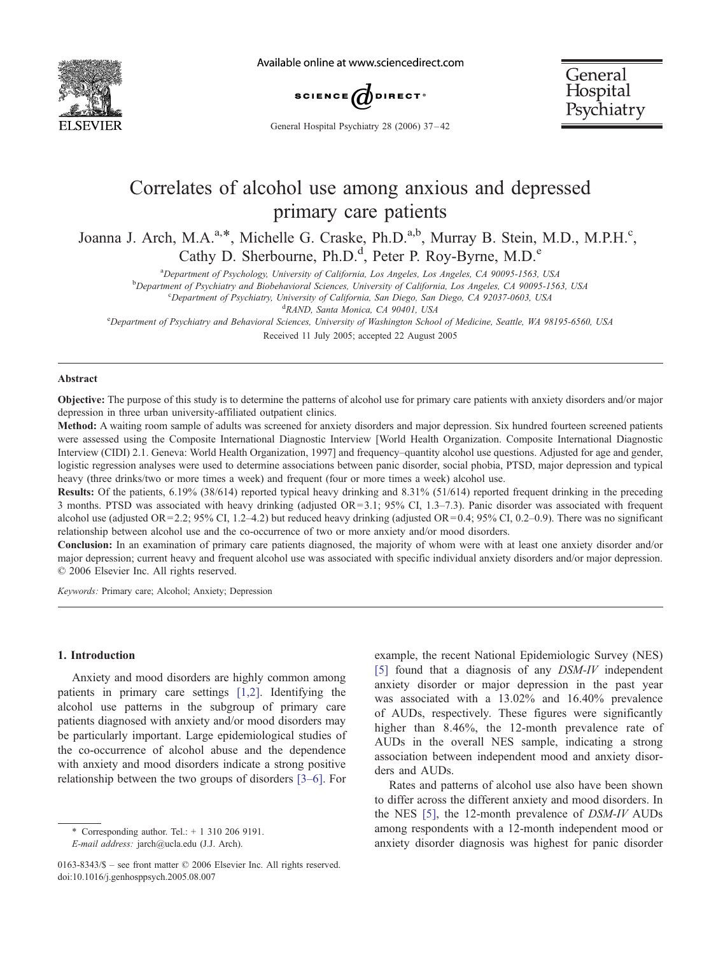

Available online at www.sciencedirect.com



General Hospital Psychiatry 28 (2006) 37 – 42

General Hospital Psychiatry

# Correlates of alcohol use among anxious and depressed primary care patients

Joanna J. Arch, M.A.<sup>a,\*</sup>, Michelle G. Craske, Ph.D.<sup>a,b</sup>, Murray B. Stein, M.D., M.P.H.<sup>c</sup>, Cathy D. Sherbourne, Ph.D.<sup>d</sup>, Peter P. Roy-Byrne, M.D.<sup>e</sup>

<sup>a</sup>Department of Psychology, University of California, Los Angeles, Los Angeles, CA 90095-1563, USA<br><sup>b</sup>Department of Psychiatry and Biobehavioral Sciences, University of California, Los Angeles, CA 90095-1563

<sup>b</sup>Department of Psychiatry and Biobehavioral Sciences, University of California, Los Angeles, CA 90095-1563, USA

<sup>c</sup>Department of Psychiatry, University of California, San Diego, San Diego, CA 92037-0603, USA

<sup>d</sup>RAND, Santa Monica, CA 90401, USA

e Department of Psychiatry and Behavioral Sciences, University of Washington School of Medicine, Seattle, WA 98195-6560, USA Received 11 July 2005; accepted 22 August 2005

#### Abstract

Objective: The purpose of this study is to determine the patterns of alcohol use for primary care patients with anxiety disorders and/or major depression in three urban university-affiliated outpatient clinics.

Method: A waiting room sample of adults was screened for anxiety disorders and major depression. Six hundred fourteen screened patients were assessed using the Composite International Diagnostic Interview [World Health Organization. Composite International Diagnostic Interview (CIDI) 2.1. Geneva: World Health Organization, 1997] and frequency–quantity alcohol use questions. Adjusted for age and gender, logistic regression analyses were used to determine associations between panic disorder, social phobia, PTSD, major depression and typical heavy (three drinks/two or more times a week) and frequent (four or more times a week) alcohol use.

Results: Of the patients, 6.19% (38/614) reported typical heavy drinking and 8.31% (51/614) reported frequent drinking in the preceding 3 months. PTSD was associated with heavy drinking (adjusted OR = 3.1; 95% CI, 1.3–7.3). Panic disorder was associated with frequent alcohol use (adjusted OR=2.2; 95% CI, 1.2–4.2) but reduced heavy drinking (adjusted OR=0.4; 95% CI, 0.2–0.9). There was no significant relationship between alcohol use and the co-occurrence of two or more anxiety and/or mood disorders.

Conclusion: In an examination of primary care patients diagnosed, the majority of whom were with at least one anxiety disorder and/or major depression; current heavy and frequent alcohol use was associated with specific individual anxiety disorders and/or major depression.  $© 2006 Elsevier Inc. All rights reserved.$ 

Keywords: Primary care; Alcohol; Anxiety; Depression

## 1. Introduction

Anxiety and mood disorders are highly common among patients in primary care settings [\[1,2\].](#page-5-0) Identifying the alcohol use patterns in the subgroup of primary care patients diagnosed with anxiety and/or mood disorders may be particularly important. Large epidemiological studies of the co-occurrence of alcohol abuse and the dependence with anxiety and mood disorders indicate a strong positive relationship between the two groups of disorders [\[3–6\].](#page-5-0) For

\* Corresponding author. Tel.:  $+ 1$  310 206 9191.

E-mail address: jarch@ucla.edu (J.J. Arch).

example, the recent National Epidemiologic Survey (NES) [\[5\]](#page-5-0) found that a diagnosis of any DSM-IV independent anxiety disorder or major depression in the past year was associated with a 13.02% and 16.40% prevalence of AUDs, respectively. These figures were significantly higher than 8.46%, the 12-month prevalence rate of AUDs in the overall NES sample, indicating a strong association between independent mood and anxiety disorders and AUDs.

Rates and patterns of alcohol use also have been shown to differ across the different anxiety and mood disorders. In the NES [\[5\],](#page-5-0) the 12-month prevalence of DSM-IV AUDs among respondents with a 12-month independent mood or anxiety disorder diagnosis was highest for panic disorder

 $0163-8343/\$  – see front matter  $\odot$  2006 Elsevier Inc. All rights reserved. doi:10.1016/j.genhosppsych.2005.08.007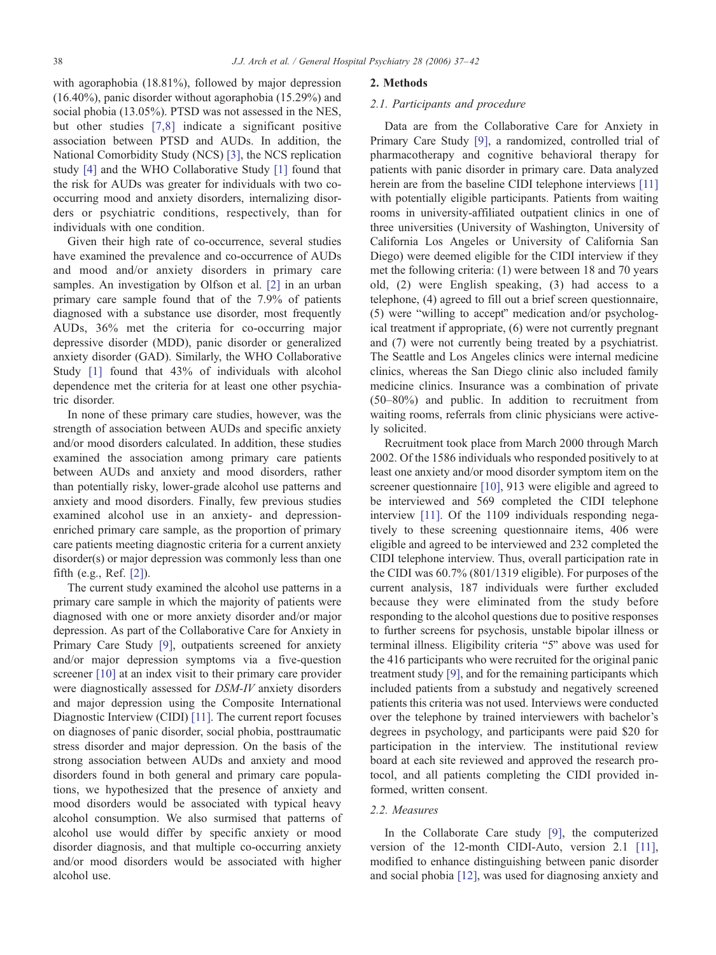with agoraphobia (18.81%), followed by major depression (16.40%), panic disorder without agoraphobia (15.29%) and social phobia (13.05[%\). P](#page-5-0)TSD was not assessed in the NES, but other studies [7,8] indicate a significant positive association between PTSD and [AUD](#page-5-0)s. In addition, the Natio[nal C](#page-5-0)omorbidity Study (NCS) [3], the N[CS](#page-5-0) replication study [4] and the WHO Collaborative Study [1] found that the risk for AUDs was greater for individuals with two cooccurring mood and anxiety disorders, internalizing disorders or psychiatric conditions, respectively, than for individuals with one condition.

Given their high rate of co-occurrence, several studies have examined the prevalence and co-occurrence of AUDs and mood and/or anxiety disorders in [pr](#page-5-0)imary care samples. An investigation by Olfson et al. [2] in an urban primary care sample found that of the 7.9% of patients diagnosed with a substance use disorder, most frequently AUDs, 36% met the criteria for co-occurring major depressive disorder (MDD), panic disorder or generalized anxiety disorder (GAD). Similarly, the WHO Collaborative Study [\[1\]](#page-5-0) found that 43% of individuals with alcohol dependence met the criteria for at least one other psychiatric disorder.

In none of these primary care studies, however, was the strength of association between AUDs and specific anxiety and/or mood disorders calculated. In addition, these studies examined the association among primary care patients between AUDs and anxiety and mood disorders, rather than potentially risky, lower-grade alcohol use patterns and anxiety and mood disorders. Finally, few previous studies examined alcohol use in an anxiety- and depressionenriched primary care sample, as the proportion of primary care patients meeting diagnostic criteria for a current anxiety disorder(s) or major depression was commonly less than one fifth (e.g., Ref. [\[2\]\)](#page-5-0).

The current study examined the alcohol use patterns in a primary care sample in which the majority of patients were diagnosed with one or more anxiety disorder and/or major depression. As part of the Collaborative Care for Anxiety in Primary Care Study [\[9\],](#page-5-0) outpatients screened for anxiety and/or major depression symptoms via a five-question screener [\[10\]](#page-5-0) at an index visit to their primary care provider were diagnostically assessed for DSM-IV anxiety disorders and major depression using the Composite International Diagnostic Interview (CIDI) [\[11\].](#page-5-0) The current report focuses on diagnoses of panic disorder, social phobia, posttraumatic stress disorder and major depression. On the basis of the strong association between AUDs and anxiety and mood disorders found in both general and primary care populations, we hypothesized that the presence of anxiety and mood disorders would be associated with typical heavy alcohol consumption. We also surmised that patterns of alcohol use would differ by specific anxiety or mood disorder diagnosis, and that multiple co-occurring anxiety and/or mood disorders would be associated with higher alcohol use.

#### 2. Methods

#### 2.1. Participants and procedure

Data are from th[e C](#page-5-0)ollaborative Care for Anxiety in Primary Care Study [9], a randomized, controlled trial of pharmacotherapy and cognitive behavioral therapy for patients with panic disorder in primary care. Data anal[yzed](#page-5-0) herein are from the baseline CIDI telephone interviews [11] with potentially eligible participants. Patients from waiting rooms in university-affiliated outpatient clinics in one of three universities (University of Washington, University of California Los Angeles or University of California San Diego) were deemed eligible for the CIDI interview if they met the following criteria: (1) were between 18 and 70 years old, (2) were English speaking, (3) had access to a telephone, (4) agreed to fill out a brief screen questionnaire, (5) were "willing to accept" medication and/or psychological treatment if appropriate, (6) were not currently pregnant and (7) were not currently being treated by a psychiatrist. The Seattle and Los Angeles clinics were internal medicine clinics, whereas the San Diego clinic also included family medicine clinics. Insurance was a combination of private (50–80%) and public. In addition to recruitment from waiting rooms, referrals from clinic physicians were actively solicited.

Recruitment took place from March 2000 through March 2002. Of the 1586 individuals who responded positively to at least one anxiety and/or mood disorder symptom item on the screener questionnaire [\[10\],](#page-5-0) 913 were eligible and agreed to be interviewed and 569 completed the CIDI telephone interview [\[11\].](#page-5-0) Of the 1109 individuals responding negatively to these screening questionnaire items, 406 were eligible and agreed to be interviewed and 232 completed the CIDI telephone interview. Thus, overall participation rate in the CIDI was 60.7% (801/1319 eligible). For purposes of the current analysis, 187 individuals were further excluded because they were eliminated from the study before responding to the alcohol questions due to positive responses to further screens for psychosis, unstable bipolar illness or terminal illness. Eligibility criteria "5" above was used for the 416 participants who were recruited for the original panic treatment study [\[9\],](#page-5-0) and for the remaining participants which included patients from a substudy and negatively screened patients this criteria was not used. Interviews were conducted over the telephone by trained interviewers with bachelor's degrees in psychology, and participants were paid \$20 for participation in the interview. The institutional review board at each site reviewed and approved the research protocol, and all patients completing the CIDI provided informed, written consent.

## 2.2. Measures

In the Collaborate Care study [\[9\],](#page-5-0) the computerized version of the 12-month CIDI-Auto, version 2.1 [\[11\],](#page-5-0) modified to enhance distinguishing between panic disorder and social phobia [\[12\],](#page-5-0) was used for diagnosing anxiety and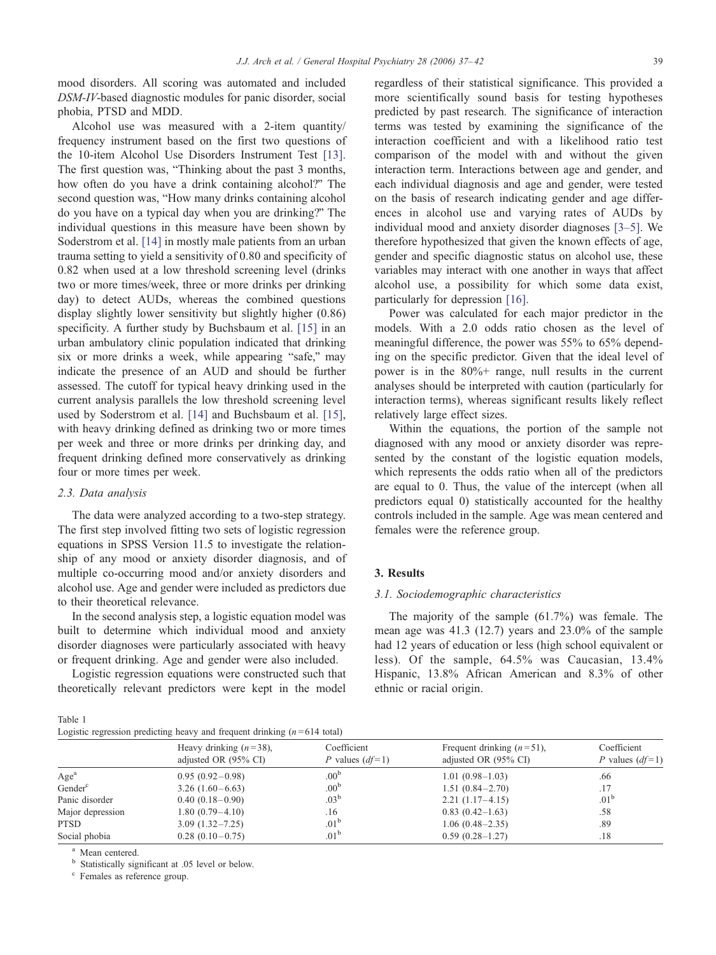<span id="page-2-0"></span>mood disorders. All scoring was automated and included DSM-IV-based diagnostic modules for panic disorder, social phobia, PTSD and MDD.

Alcohol use was measured with a 2-item quantity/ frequency instrument based on the first two questio[ns of](#page-5-0) the 10-item Alcohol Use Disorders Instrument Test [13]. The first question was, "Thinking about the past 3 months, how often do you have a drink containing alcohol?" The second question was, "How many drinks containing alcohol do you have on a typical day when you are drinking?" The individual questi[ons i](#page-5-0)n this measure have been shown by Soderstrom et al. [14] in mostly male patients from an urban trauma setting to yield a sensitivity of 0.80 and specificity of 0.82 when used at a low threshold screening level (drinks two or more times/week, three or more drinks per drinking day) to detect AUDs, whereas the combined questions display slightly lower sensitivity but slightly higher (0.86) specificity. A further study by Buchsbaum et al. [\[15\]](#page-5-0) in an urban ambulatory clinic population indicated that drinking six or more drinks a week, while appearing "safe," may indicate the presence of an AUD and should be further assessed. The cutoff for typical heavy drinking used in the current analysis parallels the low threshold screening level used by Soderstrom et al. [\[14\]](#page-5-0) and Buchsbaum et al. [\[15\],](#page-5-0) with heavy drinking defined as drinking two or more times per week and three or more drinks per drinking day, and frequent drinking defined more conservatively as drinking four or more times per week.

#### 2.3. Data analysis

The data were analyzed according to a two-step strategy. The first step involved fitting two sets of logistic regression equations in SPSS Version 11.5 to investigate the relationship of any mood or anxiety disorder diagnosis, and of multiple co-occurring mood and/or anxiety disorders and alcohol use. Age and gender were included as predictors due to their theoretical relevance.

In the second analysis step, a logistic equation model was built to determine which individual mood and anxiety disorder diagnoses were particularly associated with heavy or frequent drinking. Age and gender were also included.

Logistic regression equations were constructed such that theoretically relevant predictors were kept in the model

regardless of their statistical significance. This provided a more scientifically sound basis for testing hypotheses predicted by past research. The significance of interaction terms was tested by examining the significance of the interaction coefficient and with a likelihood ratio test comparison of the model with and without the given interaction term. Interactions between age and gender, and each individual diagnosis and age and gender, were tested on the basis of research indicating gender and age differences in alcohol use and varying rates of [AUDs](#page-5-0) by individual mood and anxiety disorder diagnoses [3–5]. We therefore hypothesized that given the known effects of age, gender and specific diagnostic status on alcohol use, these variables may interact with one another in ways that affect alcohol use, a possibility for which some data exist, particularly for depression [\[16\].](#page-5-0)

Power was calculated for each major predictor in the models. With a 2.0 odds ratio chosen as the level of meaningful difference, the power was 55% to 65% depending on the specific predictor. Given that the ideal level of power is in the 80%+ range, null results in the current analyses should be interpreted with caution (particularly for interaction terms), whereas significant results likely reflect relatively large effect sizes.

Within the equations, the portion of the sample not diagnosed with any mood or anxiety disorder was represented by the constant of the logistic equation models, which represents the odds ratio when all of the predictors are equal to 0. Thus, the value of the intercept (when all predictors equal 0) statistically accounted for the healthy controls included in the sample. Age was mean centered and females were the reference group.

## 3. Results

## 3.1. Sociodemographic characteristics

The majority of the sample (61.7%) was female. The mean age was 41.3 (12.7) years and 23.0% of the sample had 12 years of education or less (high school equivalent or less). Of the sample, 64.5% was Caucasian, 13.4% Hispanic, 13.8% African American and 8.3% of other ethnic or racial origin.

| Logistic regression predicting heavy and frequent drinking $(n=614 \text{ total})$ |                                                              |                                  |                                                      |                                  |  |  |
|------------------------------------------------------------------------------------|--------------------------------------------------------------|----------------------------------|------------------------------------------------------|----------------------------------|--|--|
|                                                                                    | Heavy drinking $(n=38)$ ,<br>adjusted OR $(95\% \text{ CI})$ | Coefficient<br>P values $(df=1)$ | Frequent drinking $(n=51)$ ,<br>adjusted OR (95% CI) | Coefficient<br>P values $(df=1)$ |  |  |
| Age <sup>a</sup>                                                                   | $0.95(0.92-0.98)$                                            | .00 <sup>b</sup>                 | $1.01(0.98-1.03)$                                    | .66                              |  |  |
| Gender <sup>c</sup>                                                                | $3.26(1.60-6.63)$                                            | .00 <sup>b</sup>                 | $1.51(0.84 - 2.70)$                                  |                                  |  |  |
| Panic disorder                                                                     | $0.40(0.18-0.90)$                                            | .03 <sup>b</sup>                 | $2.21(1.17-4.15)$                                    | .01 <sup>b</sup>                 |  |  |
| Major depression                                                                   | $1.80(0.79-4.10)$                                            | .16                              | $0.83(0.42 - 1.63)$                                  | .58                              |  |  |

PTSD  $3.09 \ (1.32 - 7.25)$   $.01<sup>b</sup>$   $1.06 \ (0.48 - 2.35)$   $.89$ Social phobia  $0.28 \ (0.10 - 0.75)$   $0.1<sup>b</sup>$   $0.59 \ (0.28 - 1.27)$   $0.18$ 

Table 1

<sup>a</sup> Mean centered.<br><sup>b</sup> Statistically significant at .05 level or below.

<sup>c</sup> Females as reference group.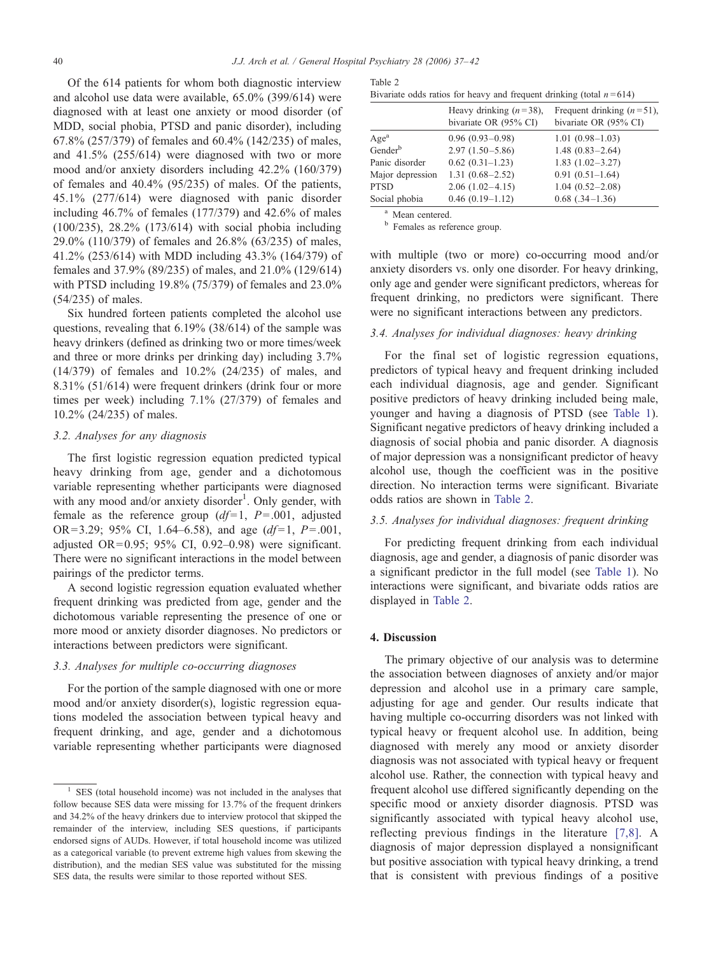Of the 614 patients for whom both diagnostic interview and alcohol use data were available, 65.0% (399/614) were diagnosed with at least one anxiety or mood disorder (of MDD, social phobia, PTSD and panic disorder), including 67.8% (257/379) of females and 60.4% (142/235) of males, and 41.5% (255/614) were diagnosed with two or more mood and/or anxiety disorders including 42.2% (160/379) of females and 40.4% (95/235) of males. Of the patients, 45.1% (277/614) were diagnosed with panic disorder including 46.7% of females (177/379) and 42.6% of males (100/235), 28.2% (173/614) with social phobia including 29.0% (110/379) of females and 26.8% (63/235) of males, 41.2% (253/614) with MDD including 43.3% (164/379) of females and 37.9% (89/235) of males, and 21.0% (129/614) with PTSD including 19.8% (75/379) of females and 23.0% (54/235) of males.

Six hundred forteen patients completed the alcohol use questions, revealing that 6.19% (38/614) of the sample was heavy drinkers (defined as drinking two or more times/week and three or more drinks per drinking day) including 3.7% (14/379) of females and 10.2% (24/235) of males, and 8.31% (51/614) were frequent drinkers (drink four or more times per week) including 7.1% (27/379) of females and 10.2% (24/235) of males.

## 3.2. Analyses for any diagnosis

The first logistic regression equation predicted typical heavy drinking from age, gender and a dichotomous variable representing whether participants were diagnosed with any mood and/or anxiety disorder<sup>1</sup>. Only gender, with female as the reference group  $(df=1, P=.001,$  adjusted OR=3.29; 95% CI, 1.64–6.58), and age  $(df=1, P=.001,$ adjusted OR= $0.95$ ; 95% CI, 0.92-0.98) were significant. There were no significant interactions in the model between pairings of the predictor terms.

A second logistic regression equation evaluated whether frequent drinking was predicted from age, gender and the dichotomous variable representing the presence of one or more mood or anxiety disorder diagnoses. No predictors or interactions between predictors were significant.

# 3.3. Analyses for multiple co-occurring diagnoses

For the portion of the sample diagnosed with one or more mood and/or anxiety disorder(s), logistic regression equations modeled the association between typical heavy and frequent drinking, and age, gender and a dichotomous variable representing whether participants were diagnosed

| Table 2                                                                  |  |  |  |
|--------------------------------------------------------------------------|--|--|--|
| Bivariate odds ratios for heavy and frequent drinking (total $n = 614$ ) |  |  |  |

|                     | Heavy drinking $(n=38)$ ,<br>bivariate OR (95% CI) | Frequent drinking $(n=51)$ ,<br>bivariate OR (95% CI) |
|---------------------|----------------------------------------------------|-------------------------------------------------------|
| Age <sup>a</sup>    | $0.96(0.93 - 0.98)$                                | $1.01(0.98-1.03)$                                     |
| Gender <sup>b</sup> | $2.97(1.50 - 5.86)$                                | $1.48(0.83 - 2.64)$                                   |
| Panic disorder      | $0.62(0.31-1.23)$                                  | $1.83(1.02 - 3.27)$                                   |
| Major depression    | $1.31(0.68 - 2.52)$                                | $0.91(0.51-1.64)$                                     |
| <b>PTSD</b>         | $2.06(1.02-4.15)$                                  | $1.04(0.52 - 2.08)$                                   |
| Social phobia       | $0.46(0.19-1.12)$                                  | $0.68$ $(.34-1.36)$                                   |
|                     |                                                    |                                                       |

 $b<sup>b</sup>$  Females as reference group.

with multiple (two or more) co-occurring mood and/or anxiety disorders vs. only one disorder. For heavy drinking, only age and gender were significant predictors, whereas for frequent drinking, no predictors were significant. There were no significant interactions between any predictors.

# 3.4. Analyses for individual diagnoses: heavy drinking

For the final set of logistic regression equations, predictors of typical heavy and frequent drinking included each individual diagnosis, age and gender. Significant positive predictors of heavy drinking included being male, younger and having a diagnosis of PTSD (see [Table](#page-2-0) [1\)](#page-2-0). Significant negative predictors of heavy drinking included a diagnosis of social phobia and panic disorder. A diagnosis of major depression was a nonsignificant predictor of heavy alcohol use, though the coefficient was in the positive direction. No interaction terms were significant. Bivariate odds ratios are shown in Table 2.

## 3.5. Analyses for individual diagnoses: frequent drinking

For predicting frequent drinking from each individual diagnosis, age and gender, a diagnosis of panic disorder was a significant predictor in the full model (see [Table](#page-2-0) [1\)](#page-2-0). No interactions were significant, and bivariate odds ratios are displayed in Table 2.

#### 4. Discussion

The primary objective of our analysis was to determine the association between diagnoses of anxiety and/or major depression and alcohol use in a primary care sample, adjusting for age and gender. Our results indicate that having multiple co-occurring disorders was not linked with typical heavy or frequent alcohol use. In addition, being diagnosed with merely any mood or anxiety disorder diagnosis was not associated with typical heavy or frequent alcohol use. Rather, the connection with typical heavy and frequent alcohol use differed significantly depending on the specific mood or anxiety disorder diagnosis. PTSD was significantly associated with typical heavy alcohol use, reflecting previous findings in the literature [\[7,8\].](#page-5-0) A diagnosis of major depression displayed a nonsignificant but positive association with typical heavy drinking, a trend that is consistent with previous findings of a positive

SES (total household income) was not included in the analyses that follow because SES data were missing for 13.7% of the frequent drinkers and 34.2% of the heavy drinkers due to interview protocol that skipped the remainder of the interview, including SES questions, if participants endorsed signs of AUDs. However, if total household income was utilized as a categorical variable (to prevent extreme high values from skewing the distribution), and the median SES value was substituted for the missing SES data, the results were similar to those reported without SES.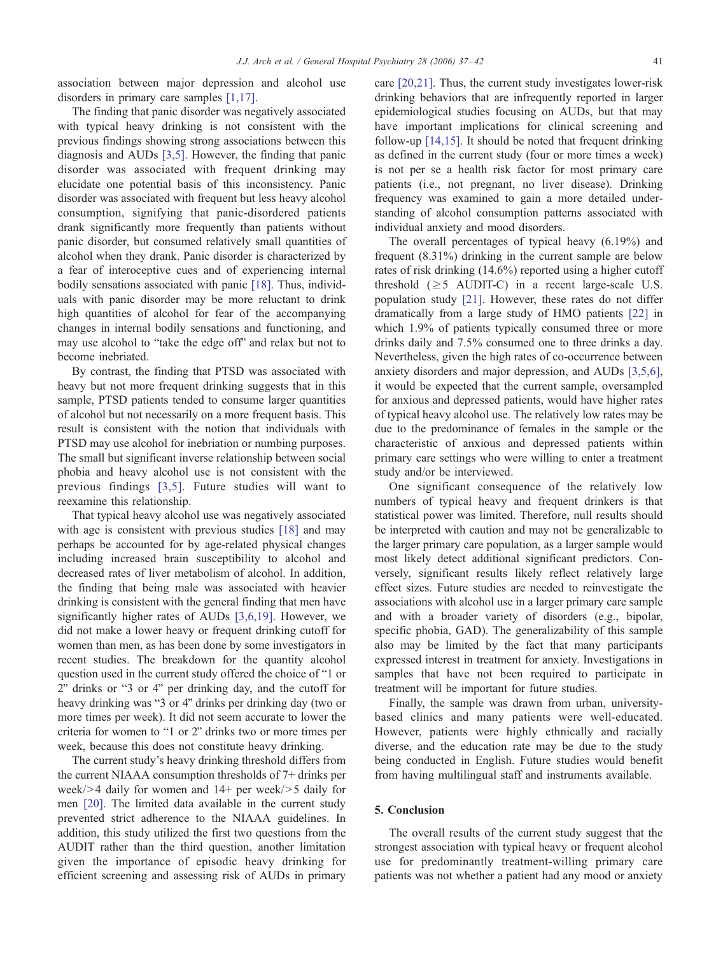association between major depr[ession](#page-5-0) and alcohol use disorders in primary care samples [1,17].

The finding that panic disorder was negatively associated with typical heavy drinking is not consistent with the previous findings sho[wing](#page-5-0) strong associations between this diagnosis and AUDs [3,5]. However, the finding that panic disorder was associated with frequent drinking may elucidate one potential basis of this inconsistency. Panic disorder was associated with frequent but less heavy alcohol consumption, signifying that panic-disordered patients drank significantly more frequently than patients without panic disorder, but consumed relatively small quantities of alcohol when they drank. Panic disorder is characterized by a fear of interoceptive cues and of experiencing internal bodily sensations associated with panic [\[18\].](#page-5-0) Thus, individuals with panic disorder may be more reluctant to drink high quantities of alcohol for fear of the accompanying changes in internal bodily sensations and functioning, and may use alcohol to "take the edge off" and relax but not to become inebriated.

By contrast, the finding that PTSD was associated with heavy but not more frequent drinking suggests that in this sample, PTSD patients tended to consume larger quantities of alcohol but not necessarily on a more frequent basis. This result is consistent with the notion that individuals with PTSD may use alcohol for inebriation or numbing purposes. The small but significant inverse relationship between social phobia and heavy alcohol use is not consistent with the previous findings [\[3,5\].](#page-5-0) Future studies will want to reexamine this relationship.

That typical heavy alcohol use was negatively associated with age is consistent with previous studies [\[18\]](#page-5-0) and may perhaps be accounted for by age-related physical changes including increased brain susceptibility to alcohol and decreased rates of liver metabolism of alcohol. In addition, the finding that being male was associated with heavier drinking is consistent with the general finding that men have significantly higher rates of AUDs [\[3,6,19\].](#page-5-0) However, we did not make a lower heavy or frequent drinking cutoff for women than men, as has been done by some investigators in recent studies. The breakdown for the quantity alcohol question used in the current study offered the choice of "1 or  $2^{\degree}$  drinks or "3 or 4" per drinking day, and the cutoff for heavy drinking was "3 or 4" drinks per drinking day (two or more times per week). It did not seem accurate to lower the criteria for women to "1 or  $2$ " drinks two or more times per week, because this does not constitute heavy drinking.

The current study's heavy drinking threshold differs from the current NIAAA consumption thresholds of 7+ drinks per week/ $>4$  daily for women and 14+ per week/ $>5$  daily for men [\[20\].](#page-5-0) The limited data available in the current study prevented strict adherence to the NIAAA guidelines. In addition, this study utilized the first two questions from the AUDIT rather than the third question, another limitation given the importance of episodic heavy drinking for efficient screening and assessing risk of AUDs in primary care [\[20,21\].](#page-5-0) Thus, the current study investigates lower-risk drinking behaviors that are infrequently reported in larger epidemiological studies focusing on AUDs, but that may have imp[ortant i](#page-5-0)mplications for clinical screening and follow-up [14,15]. It should be noted that frequent drinking as defined in the current study (four or more times a week) is not per se a health risk factor for most primary care patients (i.e., not pregnant, no liver disease). Drinking frequency was examined to gain a more detailed understanding of alcohol consumption patterns associated with individual anxiety and mood disorders.

The overall percentages of typical heavy (6.19%) and frequent (8.31%) drinking in the current sample are below rates of risk drinking (14.6%) reported using a higher cutoff threshold  $(\geq 5$  AUDIT-C) in a recent large-scale U.S. population study [\[21\].](#page-5-0) However, these rates do no[t diff](#page-5-0)er dramatically from a large study of HMO patients [22] in which 1.9% of patients typically consumed three or more drinks daily and 7.5% consumed one to three drinks a day. Nevertheless, given the high rates of co-occurrence between anxiety disorders and major depression, and AUDs [\[3,5,6\],](#page-5-0) it would be expected that the current sample, oversampled for anxious and depressed patients, would have higher rates of typical heavy alcohol use. The relatively low rates may be due to the predominance of females in the sample or the characteristic of anxious and depressed patients within primary care settings who were willing to enter a treatment study and/or be interviewed.

One significant consequence of the relatively low numbers of typical heavy and frequent drinkers is that statistical power was limited. Therefore, null results should be interpreted with caution and may not be generalizable to the larger primary care population, as a larger sample would most likely detect additional significant predictors. Conversely, significant results likely reflect relatively large effect sizes. Future studies are needed to reinvestigate the associations with alcohol use in a larger primary care sample and with a broader variety of disorders (e.g., bipolar, specific phobia, GAD). The generalizability of this sample also may be limited by the fact that many participants expressed interest in treatment for anxiety. Investigations in samples that have not been required to participate in treatment will be important for future studies.

Finally, the sample was drawn from urban, universitybased clinics and many patients were well-educated. However, patients were highly ethnically and racially diverse, and the education rate may be due to the study being conducted in English. Future studies would benefit from having multilingual staff and instruments available.

# 5. Conclusion

The overall results of the current study suggest that the strongest association with typical heavy or frequent alcohol use for predominantly treatment-willing primary care patients was not whether a patient had any mood or anxiety